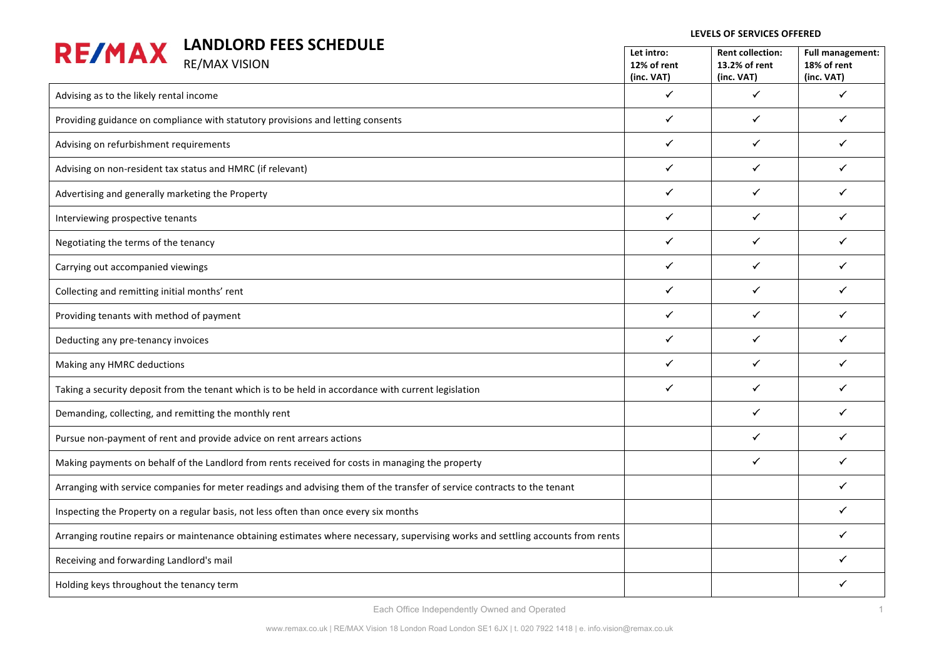| <b>LANDLORD FEES SCHEDULE</b>                                                                                                    |                           |                                          |                                        |  |
|----------------------------------------------------------------------------------------------------------------------------------|---------------------------|------------------------------------------|----------------------------------------|--|
| <b>RE/MAX</b><br><b>RE/MAX VISION</b>                                                                                            | Let intro:<br>12% of rent | <b>Rent collection:</b><br>13.2% of rent | <b>Full management:</b><br>18% of rent |  |
|                                                                                                                                  | (inc. VAT)                | (inc. VAT)                               | (inc. VAT)                             |  |
| Advising as to the likely rental income                                                                                          | $\checkmark$              | $\checkmark$                             | $\checkmark$                           |  |
| Providing guidance on compliance with statutory provisions and letting consents                                                  | $\checkmark$              | $\checkmark$                             | $\checkmark$                           |  |
| Advising on refurbishment requirements                                                                                           | $\checkmark$              | $\checkmark$                             | ✓                                      |  |
| Advising on non-resident tax status and HMRC (if relevant)                                                                       | ✓                         | ✓                                        | ✓                                      |  |
| Advertising and generally marketing the Property                                                                                 | $\checkmark$              | $\checkmark$                             | $\checkmark$                           |  |
| Interviewing prospective tenants                                                                                                 | $\checkmark$              | $\checkmark$                             | $\checkmark$                           |  |
| Negotiating the terms of the tenancy                                                                                             | $\checkmark$              | $\checkmark$                             | ✓                                      |  |
| Carrying out accompanied viewings                                                                                                | $\checkmark$              | $\checkmark$                             | ✓                                      |  |
| Collecting and remitting initial months' rent                                                                                    | ✓                         | $\checkmark$                             | $\checkmark$                           |  |
| Providing tenants with method of payment                                                                                         | $\checkmark$              | $\checkmark$                             | ✓                                      |  |
| Deducting any pre-tenancy invoices                                                                                               | $\checkmark$              | $\checkmark$                             | ✓                                      |  |
| Making any HMRC deductions                                                                                                       | ✓                         | ✓                                        | ✓                                      |  |
| Taking a security deposit from the tenant which is to be held in accordance with current legislation                             | ✓                         | $\checkmark$                             | $\checkmark$                           |  |
| Demanding, collecting, and remitting the monthly rent                                                                            |                           | $\checkmark$                             | $\checkmark$                           |  |
| Pursue non-payment of rent and provide advice on rent arrears actions                                                            |                           | $\checkmark$                             | ✓                                      |  |
| Making payments on behalf of the Landlord from rents received for costs in managing the property                                 |                           | $\checkmark$                             | $\checkmark$                           |  |
| Arranging with service companies for meter readings and advising them of the transfer of service contracts to the tenant         |                           |                                          | $\checkmark$                           |  |
| Inspecting the Property on a regular basis, not less often than once every six months                                            |                           |                                          | $\checkmark$                           |  |
| Arranging routine repairs or maintenance obtaining estimates where necessary, supervising works and settling accounts from rents |                           |                                          | ✓                                      |  |
| Receiving and forwarding Landlord's mail                                                                                         |                           |                                          |                                        |  |
| Holding keys throughout the tenancy term                                                                                         |                           |                                          |                                        |  |

Each Office Independently Owned and Operated

**LEVELS OF SERVICES OFFERED**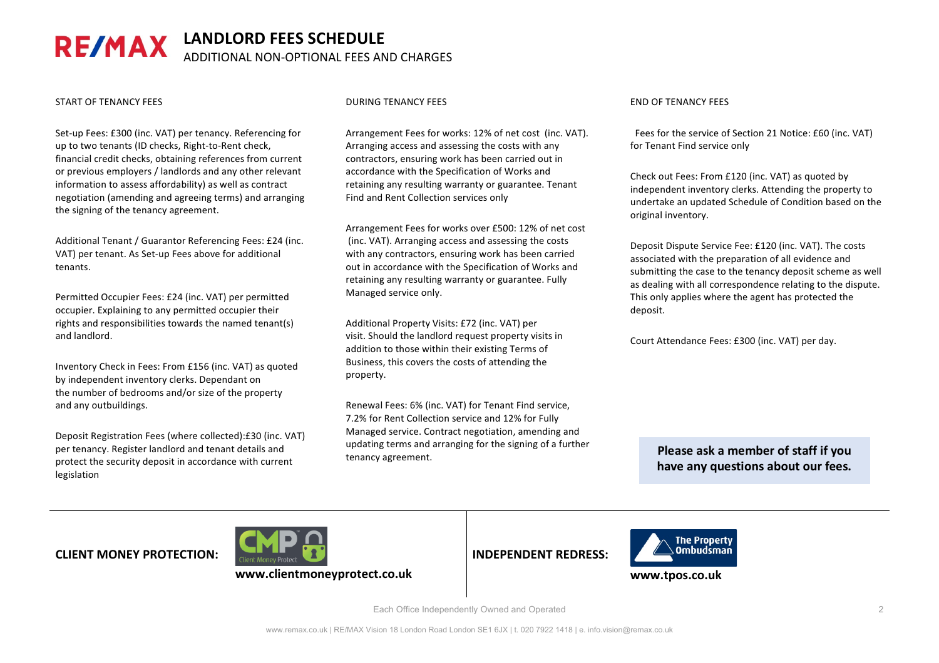### LANDLORD FEES SCHEDULE **RE/MAX** ADDITIONAL NON-OPTIONAL FEES AND CHARGES

### START OF TENANCY FEES

Set-up Fees: £300 (inc. VAT) per tenancy. Referencing for up to two tenants (ID checks, Right-to-Rent check, financial credit checks, obtaining references from current or previous employers / landlords and any other relevant information to assess affordability) as well as contract negotiation (amending and agreeing terms) and arranging the signing of the tenancy agreement.

Additional Tenant / Guarantor Referencing Fees: £24 (inc. VAT) per tenant. As Set-up Fees above for additional tenants.

Permitted Occupier Fees: £24 (inc. VAT) per permitted occupier. Explaining to any permitted occupier their rights and responsibilities towards the named tenant(s) and landlord.

Inventory Check in Fees: From £156 (inc. VAT) as quoted by independent inventory clerks. Dependant on the number of bedrooms and/or size of the property and any outbuildings.

Deposit Registration Fees (where collected):£30 (inc. VAT) per tenancy. Register landlord and tenant details and protect the security deposit in accordance with current legislation

### DURING TENANCY FEES

Arrangement Fees for works: 12% of net cost (inc. VAT). Arranging access and assessing the costs with any contractors, ensuring work has been carried out in accordance with the Specification of Works and retaining any resulting warranty or guarantee. Tenant Find and Rent Collection services only

Arrangement Fees for works over £500: 12% of net cost (inc. VAT). Arranging access and assessing the costs with any contractors, ensuring work has been carried out in accordance with the Specification of Works and retaining any resulting warranty or guarantee. Fully Managed service only.

Additional Property Visits: £72 (inc. VAT) per visit. Should the landlord request property visits in addition to those within their existing Terms of Business, this covers the costs of attending the property. 

Renewal Fees: 6% (inc. VAT) for Tenant Find service. 7.2% for Rent Collection service and 12% for Fully Managed service. Contract negotiation, amending and updating terms and arranging for the signing of a further tenancy agreement.

### END OF TENANCY FEES

Fees for the service of Section 21 Notice: £60 (inc. VAT) for Tenant Find service only

Check out Fees: From £120 (inc. VAT) as quoted by independent inventory clerks. Attending the property to undertake an updated Schedule of Condition based on the original inventory.

Deposit Dispute Service Fee: £120 (inc. VAT). The costs associated with the preparation of all evidence and submitting the case to the tenancy deposit scheme as well as dealing with all correspondence relating to the dispute. This only applies where the agent has protected the deposit.

Court Attendance Fees: £300 (inc. VAT) per day.

**Please ask a member of staff if you** have any questions about our fees.

# **CLIENT MONEY PROTECTION:**



**INDEPENDENT REDRESS:**



**www.tpos.co.uk**

Each Office Independently Owned and Operated